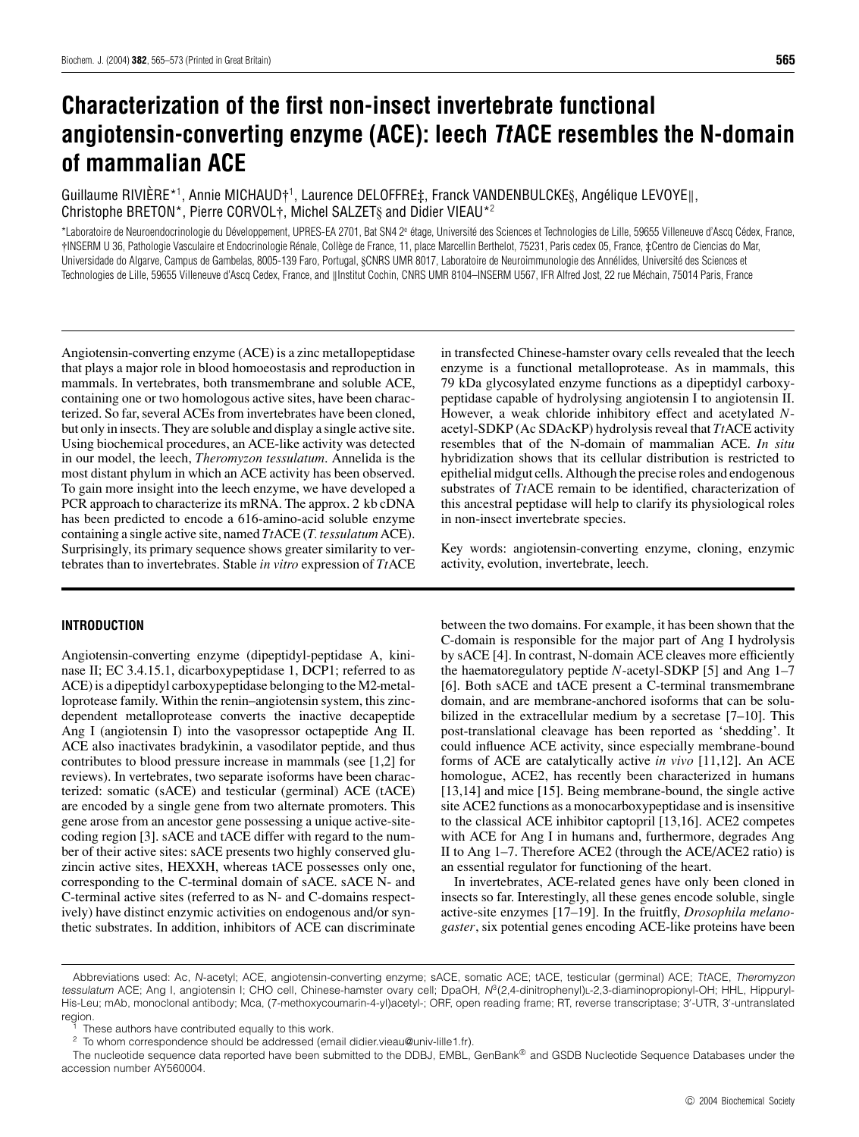# **Characterization of the first non-insect invertebrate functional angiotensin-converting enzyme (ACE): leech TtACE resembles the N-domain of mammalian ACE**

## Guillaume RIVIÈRE\*1, Annie MICHAUD†<sup>1</sup>, Laurence DELOFFRE‡, Franck VANDENBULCKE§, Angélique LEVOYE∥, Christophe BRETON\*, Pierre CORVOL†, Michel SALZET§ and Didier VIEAU\*<sup>2</sup>

\*Laboratoire de Neuroendocrinologie du Développement, UPRES-EA 2701, Bat SN4 2<sup>e</sup> étage, Université des Sciences et Technologies de Lille, 59655 Villeneuve d'Ascq Cédex, France, †INSERM U 36, Pathologie Vasculaire et Endocrinologie Renale, Coll ´ ege de France, 11, place Marcellin Berthelot, 75231, Paris cedex 05, France, ` ‡Centro de Ciencias do Mar, Universidade do Algarve, Campus de Gambelas, 8005-139 Faro, Portugal, §CNRS UMR 8017, Laboratoire de Neuroimmunologie des Annélides, Université des Sciences et Technologies de Lille, 59655 Villeneuve d'Ascq Cedex, France, and ||Institut Cochin, CNRS UMR 8104-INSERM U567, IFR Alfred Jost, 22 rue Méchain, 75014 Paris, France

Angiotensin-converting enzyme (ACE) is a zinc metallopeptidase that plays a major role in blood homoeostasis and reproduction in mammals. In vertebrates, both transmembrane and soluble ACE, containing one or two homologous active sites, have been characterized. So far, several ACEs from invertebrates have been cloned, but only in insects. They are soluble and display a single active site. Using biochemical procedures, an ACE-like activity was detected in our model, the leech, *Theromyzon tessulatum*. Annelida is the most distant phylum in which an ACE activity has been observed. To gain more insight into the leech enzyme, we have developed a PCR approach to characterize its mRNA. The approx. 2 kb cDNA has been predicted to encode a 616-amino-acid soluble enzyme containing a single active site, named *Tt*ACE (*T. tessulatum* ACE). Surprisingly, its primary sequence shows greater similarity to vertebrates than to invertebrates. Stable *in vitro* expression of *Tt*ACE

## **INTRODUCTION**

Angiotensin-converting enzyme (dipeptidyl-peptidase A, kininase II; EC 3.4.15.1, dicarboxypeptidase 1, DCP1; referred to as ACE) is a dipeptidyl carboxypeptidase belonging to the M2-metalloprotease family. Within the renin–angiotensin system, this zincdependent metalloprotease converts the inactive decapeptide Ang I (angiotensin I) into the vasopressor octapeptide Ang II. ACE also inactivates bradykinin, a vasodilator peptide, and thus contributes to blood pressure increase in mammals (see [1,2] for reviews). In vertebrates, two separate isoforms have been characterized: somatic (sACE) and testicular (germinal) ACE (tACE) are encoded by a single gene from two alternate promoters. This gene arose from an ancestor gene possessing a unique active-sitecoding region [3]. sACE and tACE differ with regard to the number of their active sites: sACE presents two highly conserved gluzincin active sites, HEXXH, whereas tACE possesses only one, corresponding to the C-terminal domain of sACE. sACE N- and C-terminal active sites (referred to as N- and C-domains respectively) have distinct enzymic activities on endogenous and/or synthetic substrates. In addition, inhibitors of ACE can discriminate

in transfected Chinese-hamster ovary cells revealed that the leech enzyme is a functional metalloprotease. As in mammals, this 79 kDa glycosylated enzyme functions as a dipeptidyl carboxypeptidase capable of hydrolysing angiotensin I to angiotensin II. However, a weak chloride inhibitory effect and acetylated *N*acetyl-SDKP (Ac SDAcKP) hydrolysis reveal that *Tt*ACE activity resembles that of the N-domain of mammalian ACE. *In situ* hybridization shows that its cellular distribution is restricted to epithelial midgut cells. Although the precise roles and endogenous substrates of *Tt*ACE remain to be identified, characterization of this ancestral peptidase will help to clarify its physiological roles in non-insect invertebrate species.

Key words: angiotensin-converting enzyme, cloning, enzymic activity, evolution, invertebrate, leech.

between the two domains. For example, it has been shown that the C-domain is responsible for the major part of Ang I hydrolysis by sACE [4]. In contrast, N-domain ACE cleaves more efficiently the haematoregulatory peptide *N*-acetyl-SDKP [5] and Ang 1–7 [6]. Both sACE and tACE present a C-terminal transmembrane domain, and are membrane-anchored isoforms that can be solubilized in the extracellular medium by a secretase [7–10]. This post-translational cleavage has been reported as 'shedding'. It could influence ACE activity, since especially membrane-bound forms of ACE are catalytically active *in vivo* [11,12]. An ACE homologue, ACE2, has recently been characterized in humans [13,14] and mice [15]. Being membrane-bound, the single active site ACE2 functions as a monocarboxypeptidase and is insensitive to the classical ACE inhibitor captopril [13,16]. ACE2 competes with ACE for Ang I in humans and, furthermore, degrades Ang II to Ang 1–7. Therefore ACE2 (through the ACE/ACE2 ratio) is an essential regulator for functioning of the heart.

In invertebrates, ACE-related genes have only been cloned in insects so far. Interestingly, all these genes encode soluble, single active-site enzymes [17–19]. In the fruitfly, *Drosophila melanogaster*, six potential genes encoding ACE-like proteins have been

Abbreviations used: Ac, N-acetyl; ACE, angiotensin-converting enzyme; sACE, somatic ACE; tACE, testicular (germinal) ACE; TtACE, Theromyzon tessulatum ACE; Ang I, angiotensin I; CHO cell, Chinese-hamster ovary cell; DpaOH, N<sup>3</sup>(2,4-dinitrophenyl)<sub>L</sub>-2,3-diaminopropionyl-OH; HHL, Hippuryl-His-Leu; mAb, monoclonal antibody; Mca, (7-methoxycoumarin-4-yl)acetyl-; ORF, open reading frame; RT, reverse transcriptase; 3'-UTR, 3'-untranslated region.

These authors have contributed equally to this work.

 $2$  To whom correspondence should be addressed (email didier.vieau@univ-lille1.fr).

The nucleotide sequence data reported have been submitted to the DDBJ, EMBL, GenBank® and GSDB Nucleotide Sequence Databases under the accession number AY560004.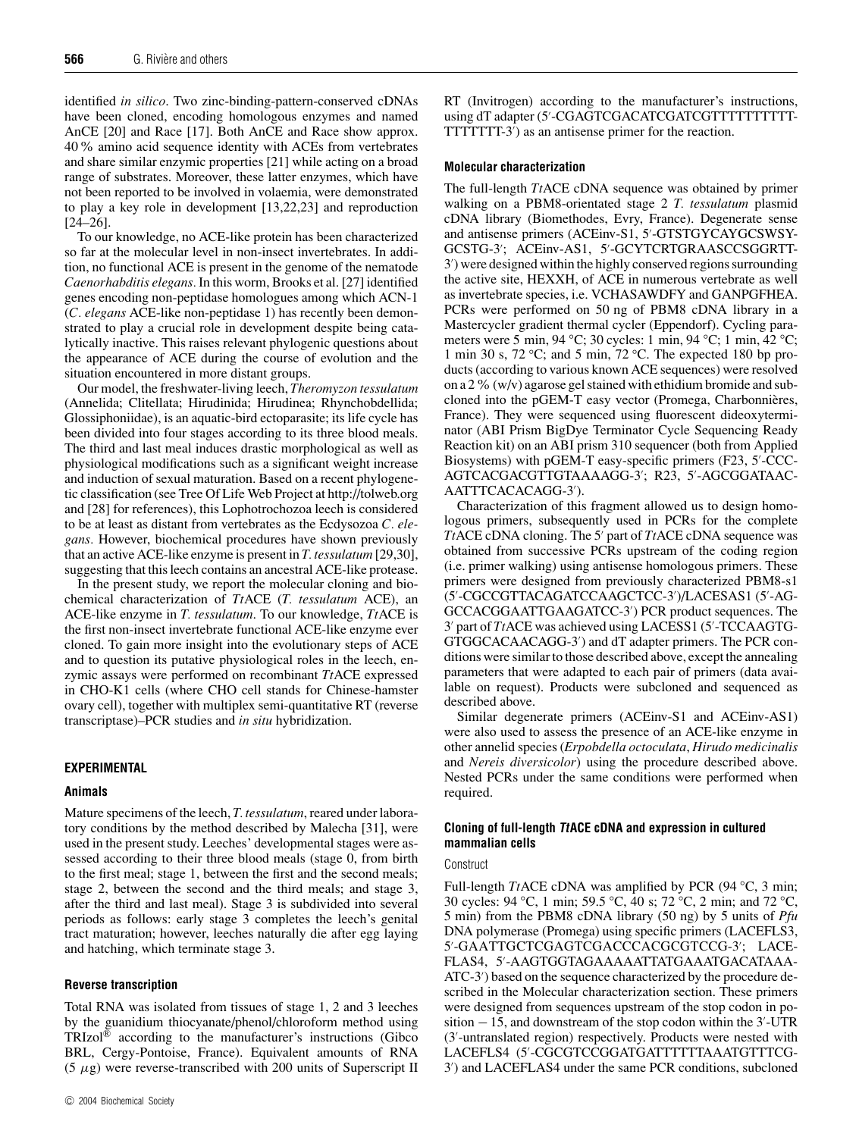identified *in silico*. Two zinc-binding-pattern-conserved cDNAs have been cloned, encoding homologous enzymes and named AnCE [20] and Race [17]. Both AnCE and Race show approx. 40% amino acid sequence identity with ACEs from vertebrates and share similar enzymic properties [21] while acting on a broad range of substrates. Moreover, these latter enzymes, which have not been reported to be involved in volaemia, were demonstrated to play a key role in development [13,22,23] and reproduction [24–26].

To our knowledge, no ACE-like protein has been characterized so far at the molecular level in non-insect invertebrates. In addition, no functional ACE is present in the genome of the nematode *Caenorhabditis elegans.* In this worm, Brooks et al. [27] identified genes encoding non-peptidase homologues among which ACN-1 (*C. elegans* ACE-like non-peptidase 1) has recently been demonstrated to play a crucial role in development despite being catalytically inactive. This raises relevant phylogenic questions about the appearance of ACE during the course of evolution and the situation encountered in more distant groups.

Our model, the freshwater-living leech, *Theromyzon tessulatum* (Annelida; Clitellata; Hirudinida; Hirudinea; Rhynchobdellida; Glossiphoniidae), is an aquatic-bird ectoparasite; its life cycle has been divided into four stages according to its three blood meals. The third and last meal induces drastic morphological as well as physiological modifications such as a significant weight increase and induction of sexual maturation. Based on a recent phylogenetic classification (see Tree Of Life Web Project at http://tolweb.org and [28] for references), this Lophotrochozoa leech is considered to be at least as distant from vertebrates as the Ecdysozoa *C. elegans.* However, biochemical procedures have shown previously that an active ACE-like enzyme is present in *T. tessulatum* [29,30], suggesting that this leech contains an ancestral ACE-like protease.

In the present study, we report the molecular cloning and biochemical characterization of *Tt*ACE (*T. tessulatum* ACE), an ACE-like enzyme in *T. tessulatum*. To our knowledge, *Tt*ACE is the first non-insect invertebrate functional ACE-like enzyme ever cloned. To gain more insight into the evolutionary steps of ACE and to question its putative physiological roles in the leech, enzymic assays were performed on recombinant *Tt*ACE expressed in CHO-K1 cells (where CHO cell stands for Chinese-hamster ovary cell), together with multiplex semi-quantitative RT (reverse transcriptase)–PCR studies and *in situ* hybridization.

#### **EXPERIMENTAL**

#### **Animals**

Mature specimens of the leech, *T. tessulatum*, reared under laboratory conditions by the method described by Malecha [31], were used in the present study. Leeches' developmental stages were assessed according to their three blood meals (stage 0, from birth to the first meal; stage 1, between the first and the second meals; stage 2, between the second and the third meals; and stage 3, after the third and last meal). Stage 3 is subdivided into several periods as follows: early stage 3 completes the leech's genital tract maturation; however, leeches naturally die after egg laying and hatching, which terminate stage 3.

## **Reverse transcription**

Total RNA was isolated from tissues of stage 1, 2 and 3 leeches by the guanidium thiocyanate/phenol/chloroform method using TRIzol® according to the manufacturer's instructions (Gibco BRL, Cergy-Pontoise, France). Equivalent amounts of RNA  $(5 \mu g)$  were reverse-transcribed with 200 units of Superscript II RT (Invitrogen) according to the manufacturer's instructions, using dT adapter (5'-CGAGTCGACATCGATCGTTTTTTTTTTT TTTTTTT-3') as an antisense primer for the reaction.

## **Molecular characterization**

The full-length *Tt*ACE cDNA sequence was obtained by primer walking on a PBM8-orientated stage 2 *T. tessulatum* plasmid cDNA library (Biomethodes, Evry, France). Degenerate sense and antisense primers (ACEinv-S1, 5'-GTSTGYCAYGCSWSY-GCSTG-3'; ACEinv-AS1, 5'-GCYTCRTGRAASCCSGGRTT-3') were designed within the highly conserved regions surrounding the active site, HEXXH, of ACE in numerous vertebrate as well as invertebrate species, i.e. VCHASAWDFY and GANPGFHEA. PCRs were performed on 50 ng of PBM8 cDNA library in a Mastercycler gradient thermal cycler (Eppendorf). Cycling parameters were 5 min, 94 *◦*C; 30 cycles: 1 min, 94 *◦* C; 1 min, 42 *◦*C; 1 min 30 s, 72 *◦* C; and 5 min, 72 *◦* C. The expected 180 bp products (according to various known ACE sequences) were resolved on a 2 % (w/v) agarose gel stained with ethidium bromide and subcloned into the pGEM-T easy vector (Promega, Charbonnières, France). They were sequenced using fluorescent dideoxyterminator (ABI Prism BigDye Terminator Cycle Sequencing Ready Reaction kit) on an ABI prism 310 sequencer (both from Applied Biosystems) with pGEM-T easy-specific primers (F23, 5'-CCC-AGTCACGACGTTGTAAAAGG-3′; R23, 5′-AGCGGATAAC-AATTTCACACAGG-3').

Characterization of this fragment allowed us to design homologous primers, subsequently used in PCRs for the complete TtACE cDNA cloning. The 5' part of TtACE cDNA sequence was obtained from successive PCRs upstream of the coding region (i.e. primer walking) using antisense homologous primers. These primers were designed from previously characterized PBM8-s1 (5'-CGCCGTTACAGATCCAAGCTCC-3')/LACESAS1(5'-AG-GCCACGGAATTGAAGATCC-3') PCR product sequences. The 3' part of TtACE was achieved using LACESS1 (5'-TCCAAGTG-GTGGCACAACAGG-3') and dT adapter primers. The PCR conditions were similar to those described above, except the annealing parameters that were adapted to each pair of primers (data available on request). Products were subcloned and sequenced as described above.

Similar degenerate primers (ACEinv-S1 and ACEinv-AS1) were also used to assess the presence of an ACE-like enzyme in other annelid species (*Erpobdella octoculata*, *Hirudo medicinalis* and *Nereis diversicolor*) using the procedure described above. Nested PCRs under the same conditions were performed when required.

## **Cloning of full-length TtACE cDNA and expression in cultured mammalian cells**

#### **Construct**

Full-length *Tt*ACE cDNA was amplified by PCR (94 *◦*C, 3 min; 30 cycles: 94 *◦*C, 1 min; 59.5 *◦*C, 40 s; 72 *◦*C, 2 min; and 72 *◦*C, 5 min) from the PBM8 cDNA library (50 ng) by 5 units of *Pfu* DNA polymerase (Promega) using specific primers (LACEFLS3, 5- -GAATTGCTCGAGTCGACCCACGCGTCCG-3- ; LACE-FLAS4, 5- -AAGTGGTAGAAAAATTATGAAATGACATAAA-ATC-3') based on the sequence characterized by the procedure described in the Molecular characterization section. These primers were designed from sequences upstream of the stop codon in po- $\frac{\text{stition}}{2} - 15$ , and downstream of the stop codon within the 3'-UTR (3'-untranslated region) respectively. Products were nested with LACEFLS4 (5'-CGCGTCCGGATGATTTTTTAAATGTTTCG-3') and LACEFLAS4 under the same PCR conditions, subcloned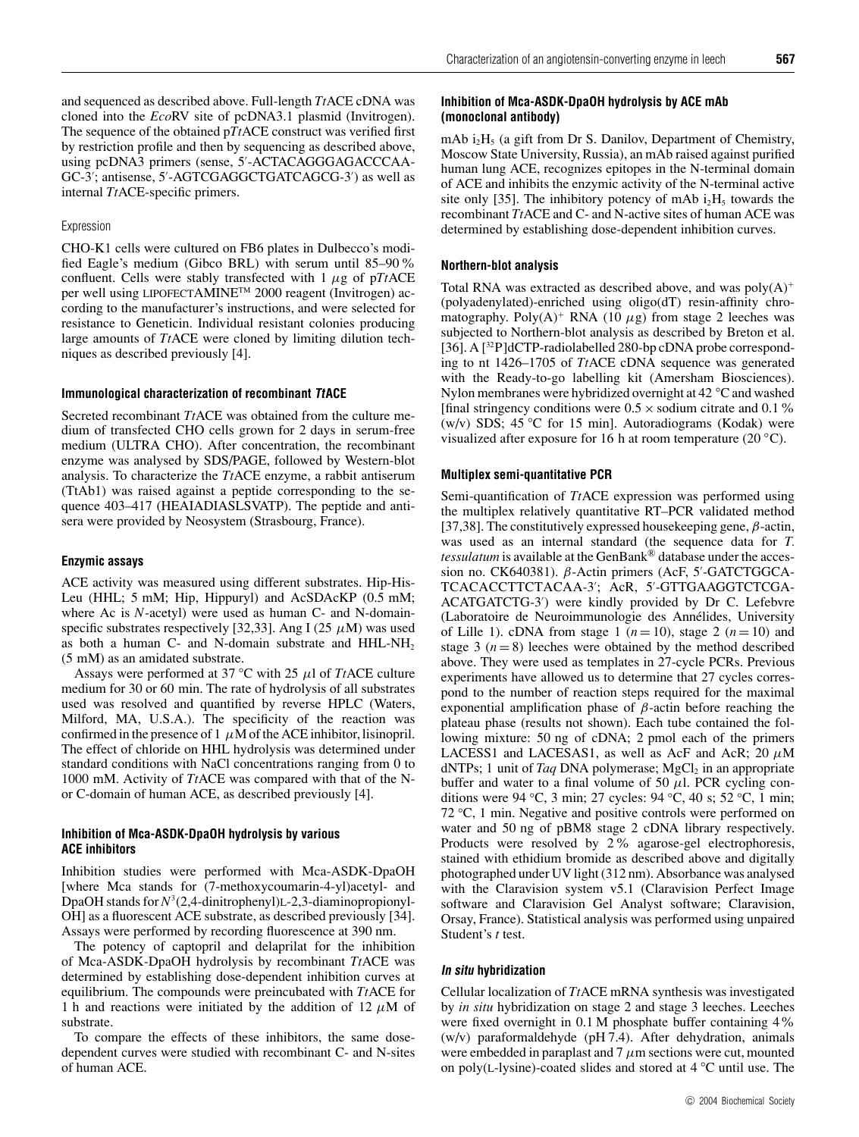and sequenced as described above. Full-length *Tt*ACE cDNA was cloned into the *Eco*RV site of pcDNA3.1 plasmid (Invitrogen). The sequence of the obtained p*Tt*ACE construct was verified first by restriction profile and then by sequencing as described above, using pcDNA3 primers (sense, 5'-ACTACAGGGAGACCCAA-GC-3'; antisense, 5'-AGTCGAGGCTGATCAGCG-3') as well as internal *Tt*ACE-specific primers.

#### Expression

CHO-K1 cells were cultured on FB6 plates in Dulbecco's modified Eagle's medium (Gibco BRL) with serum until 85–90% confluent. Cells were stably transfected with  $1 \mu$ g of p*TtACE* per well using LIPOFECTAMINE<sup>™</sup> 2000 reagent (Invitrogen) according to the manufacturer's instructions, and were selected for resistance to Geneticin. Individual resistant colonies producing large amounts of *Tt*ACE were cloned by limiting dilution techniques as described previously [4].

#### **Immunological characterization of recombinant TtACE**

Secreted recombinant *Tt*ACE was obtained from the culture medium of transfected CHO cells grown for 2 days in serum-free medium (ULTRA CHO). After concentration, the recombinant enzyme was analysed by SDS/PAGE, followed by Western-blot analysis. To characterize the *Tt*ACE enzyme, a rabbit antiserum (TtAb1) was raised against a peptide corresponding to the sequence 403–417 (HEAIADIASLSVATP). The peptide and antisera were provided by Neosystem (Strasbourg, France).

#### **Enzymic assays**

ACE activity was measured using different substrates. Hip-His-Leu (HHL; 5 mM; Hip, Hippuryl) and AcSDAcKP (0.5 mM; where Ac is *N*-acetyl) were used as human C- and N-domainspecific substrates respectively [32,33]. Ang I (25  $\mu$ M) was used as both a human C- and N-domain substrate and  $HHL-NH<sub>2</sub>$ (5 mM) as an amidated substrate.

Assays were performed at 37 *◦*C with 25 µl of *Tt*ACE culture medium for 30 or 60 min. The rate of hydrolysis of all substrates used was resolved and quantified by reverse HPLC (Waters, Milford, MA, U.S.A.). The specificity of the reaction was confirmed in the presence of 1  $\mu$ M of the ACE inhibitor, lisinopril. The effect of chloride on HHL hydrolysis was determined under standard conditions with NaCl concentrations ranging from 0 to 1000 mM. Activity of *Tt*ACE was compared with that of the Nor C-domain of human ACE, as described previously [4].

#### **Inhibition of Mca-ASDK-DpaOH hydrolysis by various ACE inhibitors**

Inhibition studies were performed with Mca-ASDK-DpaOH [where Mca stands for (7-methoxycoumarin-4-yl)acetyl- and DpaOH stands for *N*<sup>3</sup> (2,4-dinitrophenyl)L-2,3-diaminopropionyl-OH] as a fluorescent ACE substrate, as described previously [34]. Assays were performed by recording fluorescence at 390 nm.

The potency of captopril and delaprilat for the inhibition of Mca-ASDK-DpaOH hydrolysis by recombinant *Tt*ACE was determined by establishing dose-dependent inhibition curves at equilibrium. The compounds were preincubated with *Tt*ACE for 1 h and reactions were initiated by the addition of 12  $\mu$ M of substrate.

To compare the effects of these inhibitors, the same dosedependent curves were studied with recombinant C- and N-sites of human ACE.

## **Inhibition of Mca-ASDK-DpaOH hydrolysis by ACE mAb (monoclonal antibody)**

mAb  $i_2H_5$  (a gift from Dr S. Danilov, Department of Chemistry, Moscow State University, Russia), an mAb raised against purified human lung ACE, recognizes epitopes in the N-terminal domain of ACE and inhibits the enzymic activity of the N-terminal active site only [35]. The inhibitory potency of mAb  $i_2H_5$  towards the recombinant *Tt*ACE and C- and N-active sites of human ACE was determined by establishing dose-dependent inhibition curves.

## **Northern-blot analysis**

Total RNA was extracted as described above, and was  $poly(A)^+$ (polyadenylated)-enriched using oligo(dT) resin-affinity chromatography. Poly $(A)^+$  RNA (10  $\mu$ g) from stage 2 leeches was subjected to Northern-blot analysis as described by Breton et al. [36]. A  $[^{32}P]$ dCTP-radiolabelled 280-bp cDNA probe corresponding to nt 1426–1705 of *Tt*ACE cDNA sequence was generated with the Ready-to-go labelling kit (Amersham Biosciences). Nylon membranes were hybridized overnight at 42 *◦*C and washed [final stringency conditions were  $0.5 \times$  sodium citrate and  $0.1\%$ (w/v) SDS; 45 *◦* C for 15 min]. Autoradiograms (Kodak) were visualized after exposure for 16 h at room temperature (20 *◦*C).

#### **Multiplex semi-quantitative PCR**

Semi-quantification of *Tt*ACE expression was performed using the multiplex relatively quantitative RT–PCR validated method [37,38]. The constitutively expressed housekeeping gene,  $\beta$ -actin, was used as an internal standard (the sequence data for *T. tessulatum* is available at the GenBank® database under the accession no. CK640381). β-Actin primers (AcF, 5'-GATCTGGCA-TCACACCTTCTACAA-3'; AcR, 5'-GTTGAAGGTCTCGA-ACATGATCTG-3') were kindly provided by Dr C. Lefebvre (Laboratoire de Neuroimmunologie des Annélides, University of Lille 1). cDNA from stage 1  $(n=10)$ , stage 2  $(n=10)$  and stage 3  $(n=8)$  leeches were obtained by the method described above. They were used as templates in 27-cycle PCRs. Previous experiments have allowed us to determine that 27 cycles correspond to the number of reaction steps required for the maximal exponential amplification phase of β-actin before reaching the plateau phase (results not shown). Each tube contained the following mixture: 50 ng of cDNA; 2 pmol each of the primers LACESS1 and LACESAS1, as well as AcF and AcR; 20  $\mu$ M dNTPs; 1 unit of *Taq* DNA polymerase; MgCl<sub>2</sub> in an appropriate buffer and water to a final volume of 50  $\mu$ l. PCR cycling conditions were 94 *◦*C, 3 min; 27 cycles: 94 *◦*C, 40 s; 52 *◦*C, 1 min; 72 *◦*C, 1 min. Negative and positive controls were performed on water and 50 ng of pBM8 stage 2 cDNA library respectively. Products were resolved by 2% agarose-gel electrophoresis, stained with ethidium bromide as described above and digitally photographed under UV light (312 nm). Absorbance was analysed with the Claravision system v5.1 (Claravision Perfect Image software and Claravision Gel Analyst software; Claravision, Orsay, France). Statistical analysis was performed using unpaired Student's *t* test.

#### **In situ hybridization**

Cellular localization of *Tt*ACE mRNA synthesis was investigated by *in situ* hybridization on stage 2 and stage 3 leeches. Leeches were fixed overnight in 0.1 M phosphate buffer containing  $4\%$ (w/v) paraformaldehyde (pH 7.4). After dehydration, animals were embedded in paraplast and  $7 \mu$ m sections were cut, mounted on poly(L-lysine)-coated slides and stored at 4 *◦*C until use. The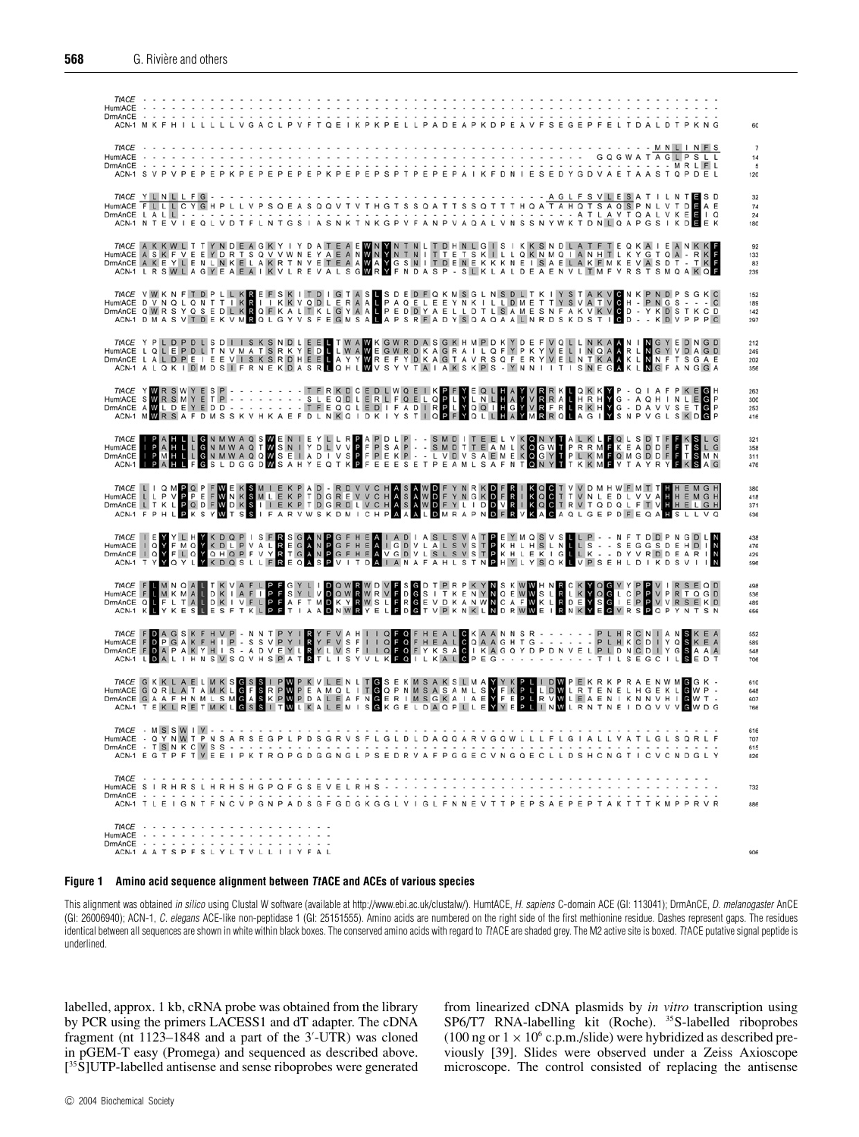| TIACE<br>HumtACE<br>DrmAnCE<br>ACN-1 M K F H I L L                                                                                                                                                                                                                                                                |  |  |  |   |  |  | LLLVGACLP |  |  |  |  |        |  |  |  |  |  |  |  |  | GEPFEL |  |  |                                 |  |  |         |  |                          |
|-------------------------------------------------------------------------------------------------------------------------------------------------------------------------------------------------------------------------------------------------------------------------------------------------------------------|--|--|--|---|--|--|-----------|--|--|--|--|--------|--|--|--|--|--|--|--|--|--------|--|--|---------------------------------|--|--|---------|--|--------------------------|
| TtACE<br><b>HumtACE</b><br>DrmAnCE                                                                                                                                                                                                                                                                                |  |  |  |   |  |  |           |  |  |  |  |        |  |  |  |  |  |  |  |  |        |  |  | <b>GQGWATAGLPSLL</b><br>. MRLFL |  |  | MNLINFS |  | 14<br>5<br>120           |
| ACN-1 N T E V I E Q L V D T F L N T G S I A S N K T N K G P V F A N P V A Q A L V N S S N Y W K T D N L Q A P G S I K D E E K                                                                                                                                                                                     |  |  |  |   |  |  |           |  |  |  |  |        |  |  |  |  |  |  |  |  |        |  |  |                                 |  |  |         |  | 32<br>74<br>24<br>180    |
| TACE A K K W L T T Y N D E A G K Y I Y D A T E A E W N Y N T N L T D H N L G I S I K K S N D L A T F T E Q K A I E A N K K F<br>HumAACE A S K F V E E Y D R T S Q V V W N E Y A E A N W N Y N T N I T T E T S K I L L Q K N M Q I                                                                                 |  |  |  |   |  |  |           |  |  |  |  |        |  |  |  |  |  |  |  |  |        |  |  |                                 |  |  |         |  | 92<br>133<br>83<br>239   |
| TACE VWKNFTDPLLKREFSKITDIGTASLSDEDFQKMSGLNSDLTKIYSTAKVONKPNDPSGKC<br>HumMACE DVNQLQNTTIKRIIIKKVQDLERAALPPAQELEEYNKILLDMETTYSVÁTVOH - PNGS - - - C<br>DrmAnCE QWRSYQSEDLKRQEKALTKLGYAALPEDDYAELLDTLSAMESNFAKVKVOD - YKDSTKCD<br>ACN-1 DM                                                                           |  |  |  |   |  |  |           |  |  |  |  |        |  |  |  |  |  |  |  |  |        |  |  |                                 |  |  |         |  | 152<br>189<br>142<br>297 |
| TACE Y P L D P D L S D I I S K S N D L E E L T W A W K G W R D A S G K H M P D K Y D E F V Q L L N K A K N I N G Y E D N G D<br>HumACE L Q L E P D L T N V M A T S R K Y E D L W A W E G W R D C M A G R A I L Q F Y P K Y V E L                                                                                  |  |  |  |   |  |  |           |  |  |  |  |        |  |  |  |  |  |  |  |  |        |  |  |                                 |  |  |         |  | 212<br>249<br>202        |
| TACE YWRSWYESP - - - - - - - - TERKDCEDLWQE   KPFYEQLHAYVRRKLQKKYP - Q   AFPKEGH<br>HumAACE SWRSMYETP - - - - - - - - - - - - - - - TERQLERLFQELQPLYLNLHAYVRRALHRAYVR - A QH   N<br>DmmAaCE AWLDEYEDD - - - - - - - - - TEEQQLED   F                                                                              |  |  |  |   |  |  |           |  |  |  |  |        |  |  |  |  |  |  |  |  |        |  |  |                                 |  |  |         |  | 263<br>300<br>253<br>416 |
| TACE IP A H L L GN M W A Q S W E N I E Y L L R P A P D L P - - S M D I T E E L V K O N Y T A L K L F Q L S D T F F K S L G<br>DmMACE IP A H L L GN M W A Q T W S N I Y D L V Y P F P S A P - - S M D T T E A M L K O G W T P R R                                                                                  |  |  |  |   |  |  |           |  |  |  |  |        |  |  |  |  |  |  |  |  |        |  |  |                                 |  |  |         |  | 321<br>358<br>311        |
| TACE LIQMPQPFWEKSMIEKPAD - RDVVCHASAWDFYNRKDFRIKQCTVVDMHWFMTTHHEMGH<br>HumACE LLPVPPEFWNKSMLEKPTDGREVVCHASAWDFYNGKDFRIKQCTTVNLEDLVYVAHHEMGH<br>DmMACE LTKLPQDFWDKSILEKPTDGRDLVCHASAWDFYLIDDVRIKQCTRVTQDQLFTVHHELGH<br>ACN-1 FPHLPKSYWTS                                                                           |  |  |  |   |  |  |           |  |  |  |  |        |  |  |  |  |  |  |  |  |        |  |  |                                 |  |  |         |  | 380<br>418<br>371<br>536 |
| TACE I E Y Y L HY K D Q P I S F R S G A N P G F H E A I A D I A S L S V A T P E Y M Q S V S L L P - - N F T D D P N G D L N<br>HumAnCE I I Q Y F M Q Y K D L P Y A L R E G A N P G F H E A I G D V L A L S V S T P K H L H S L L                                                                                  |  |  |  |   |  |  |           |  |  |  |  |        |  |  |  |  |  |  |  |  |        |  |  |                                 |  |  |         |  | 438<br>476<br>429        |
| TACE FUMNOALTKVAFLPFGYLIDOWRWDVFSGDTPRPKYNSKWWHNRCKYOGVYPPVIRSEQD<br>HumAACE FUMKMALDKIAFIPFSYLVDOWRWRVFDGSITKENYNOGWWSLRIKYOGLCPPVPRTOGD<br>DmMAACE QUFLTALDKIVFLPFAFTMDKYRWSLFRGEVDKANWNCAFWKLROEYSGIEPPVYRSEKO<br>ACN-1 KUYKESLESFTK                                                                           |  |  |  |   |  |  |           |  |  |  |  |        |  |  |  |  |  |  |  |  |        |  |  |                                 |  |  |         |  | 498<br>536<br>489        |
| TACE FOAGSKFHVP - NNTPYIRYFVAHIIQFOFHEALOKAANNSR - - - - - - PLHRCNIANSKEA<br>HumMCE FOPGAKFHIP - SSVPYIRYFVSFIIQFOFHEALOQAAGHTG - - - - - - PLHRCOIIYQSKEA<br>DIMMACE FOAPAKYHIS - A DVEYIRYLLVSFIIQFOFFYKSAO IKAGQYDPDNVELPLDNQDII                                                                              |  |  |  |   |  |  |           |  |  |  |  |        |  |  |  |  |  |  |  |  |        |  |  |                                 |  |  |         |  | 589<br>548<br>706        |
| TACE GKKLAELMKSGSSIPWPKVLENLTGSEKMSAKSLMAYYKPLIDWPEKRKPRAENWMGGK<br>HumAACE GQRLATAMKLGFSRPWPEAMQLITGQPNMSASAMLSYFKPLIDWLRTENELHGEKLGWP-<br>DmMAnCE GAAFHNMLSMGASKPWPDALEAFNGERIMSGKAIAEYFEPLRVWLEAENIKNNVHIGWT-<br>ACN-1 TEKLRETMKLGSS                                                                           |  |  |  |   |  |  |           |  |  |  |  |        |  |  |  |  |  |  |  |  |        |  |  |                                 |  |  |         |  | 610<br>648<br>607        |
| HumtACE     Q Y N <u>W</u> T P N S A R S E G P L P D S G R V S F L G L D L D A Q Q A R V G Q W L L L F L G I A L L V A T L G L S Q R L F<br>$DmAnCE - T SN KC VSS - - - - - - -$<br>ACN-1 E G T P F T V E E I P K T R Q P G D G G N G L P S E D R V A F P G G E C V N G Q E C L L D S H C N G T I C V C N D G L Y |  |  |  |   |  |  |           |  |  |  |  |        |  |  |  |  |  |  |  |  |        |  |  |                                 |  |  |         |  | 616<br>707<br>615<br>826 |
| $TtACE$<br>HumtACE SIRHRSLHRHSHGPQFGSEVELRHS<br>ACN-1 T L E I G N T F N C V P G N P A D S G F G D G K G G L V I G L F N N E V T T P E P S A E P E P T A K T T T K M P P R V R                                                                                                                                     |  |  |  |   |  |  |           |  |  |  |  | $\sim$ |  |  |  |  |  |  |  |  |        |  |  |                                 |  |  |         |  | 732<br>886               |
| $TtACE - - - - - - - - - - - -$<br>HumtACE<br>ACN-1 A A T S P F S L Y L T V L L I I Y F A L                                                                                                                                                                                                                       |  |  |  | . |  |  |           |  |  |  |  |        |  |  |  |  |  |  |  |  |        |  |  |                                 |  |  |         |  | 906                      |

#### **Figure 1 Amino acid sequence alignment between TtACE and ACEs of various species**

This alignment was obtained in silico using Clustal W software (available at http://www.ebi.ac.uk/clustalw/). HumtACE, H. sapiens C-domain ACE (GI: 113041); DrmAnCE, D. melanogaster AnCE (GI: 26006940); ACN-1, C. elegans ACE-like non-peptidase 1 (GI: 25151555). Amino acids are numbered on the right side of the first methionine residue. Dashes represent gaps. The residues identical between all sequences are shown in white within black boxes. The conserved amino acids with regard to TtACE are shaded grey. The M2 active site is boxed. TtACE putative signal peptide is underlined.

labelled, approx. 1 kb, cRNA probe was obtained from the library by PCR using the primers LACESS1 and dT adapter. The cDNA fragment (nt 1123–1848 and a part of the 3'-UTR) was cloned in pGEM-T easy (Promega) and sequenced as described above. [ 35S]UTP-labelled antisense and sense riboprobes were generated

from linearized cDNA plasmids by *in vitro* transcription using SP6/T7 RNA-labelling kit (Roche). <sup>35</sup>S-labelled riboprobes (100 ng or  $1 \times 10^6$  c.p.m./slide) were hybridized as described previously [39]. Slides were observed under a Zeiss Axioscope microscope. The control consisted of replacing the antisense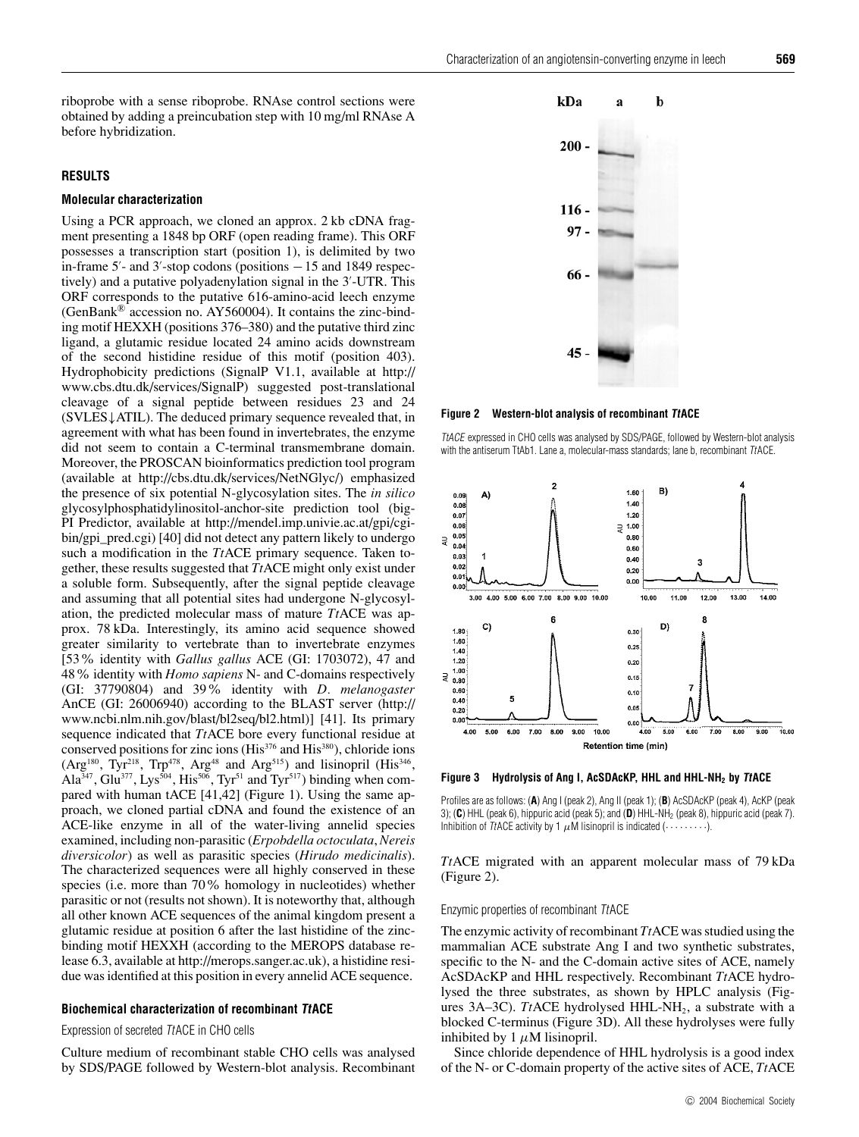riboprobe with a sense riboprobe. RNAse control sections were obtained by adding a preincubation step with 10 mg/ml RNAse A before hybridization.

## **RESULTS**

#### **Molecular characterization**

Using a PCR approach, we cloned an approx. 2 kb cDNA fragment presenting a 1848 bp ORF (open reading frame). This ORF possesses a transcription start (position 1), is delimited by two in-frame  $5'$ - and  $3'$ -stop codons (positions  $-15$  and  $1849$  respectively) and a putative polyadenylation signal in the 3'-UTR. This ORF corresponds to the putative 616-amino-acid leech enzyme (GenBank® accession no. AY560004). It contains the zinc-binding motif HEXXH (positions 376–380) and the putative third zinc ligand, a glutamic residue located 24 amino acids downstream of the second histidine residue of this motif (position 403). Hydrophobicity predictions (SignalP V1.1, available at http:// www.cbs.dtu.dk/services/SignalP) suggested post-translational cleavage of a signal peptide between residues 23 and 24 (SVLES↓ATIL). The deduced primary sequence revealed that, in agreement with what has been found in invertebrates, the enzyme did not seem to contain a C-terminal transmembrane domain. Moreover, the PROSCAN bioinformatics prediction tool program (available at http://cbs.dtu.dk/services/NetNGlyc/) emphasized the presence of six potential N-glycosylation sites. The *in silico* glycosylphosphatidylinositol-anchor-site prediction tool (big-PI Predictor, available at http://mendel.imp.univie.ac.at/gpi/cgibin/gpi\_pred.cgi) [40] did not detect any pattern likely to undergo such a modification in the *Tt*ACE primary sequence. Taken together, these results suggested that *Tt*ACE might only exist under a soluble form. Subsequently, after the signal peptide cleavage and assuming that all potential sites had undergone N-glycosylation, the predicted molecular mass of mature *Tt*ACE was approx. 78 kDa. Interestingly, its amino acid sequence showed greater similarity to vertebrate than to invertebrate enzymes [53% identity with *Gallus gallus* ACE (GI: 1703072), 47 and 48% identity with *Homo sapiens* N- and C-domains respectively (GI: 37790804) and 39% identity with *D. melanogaster* AnCE (GI: 26006940) according to the BLAST server (http:// www.ncbi.nlm.nih.gov/blast/bl2seq/bl2.html)] [41]. Its primary sequence indicated that *Tt*ACE bore every functional residue at conserved positions for zinc ions (His<sup>376</sup> and His<sup>380</sup>), chloride ions (Arg<sup>180</sup>, Tyr<sup>218</sup>, Trp<sup>478</sup>, Arg<sup>48</sup> and Arg<sup>515</sup>) and lisinopril (His<sup>346</sup>, Ala<sup>347</sup>, Glu<sup>377</sup>, Lys<sup>504</sup>, His<sup>506</sup>, Tyr<sup>51</sup> and Tyr<sup>517</sup>) binding when compared with human tACE [41,42] (Figure 1). Using the same approach, we cloned partial cDNA and found the existence of an ACE-like enzyme in all of the water-living annelid species examined, including non-parasitic (*Erpobdella octoculata*, *Nereis diversicolor*) as well as parasitic species (*Hirudo medicinalis*). The characterized sequences were all highly conserved in these species (i.e. more than 70% homology in nucleotides) whether parasitic or not (results not shown). It is noteworthy that, although all other known ACE sequences of the animal kingdom present a glutamic residue at position 6 after the last histidine of the zincbinding motif HEXXH (according to the MEROPS database release 6.3, available at http://merops.sanger.ac.uk), a histidine residue was identified at this position in every annelid ACE sequence.

## **Biochemical characterization of recombinant TtACE**

## Expression of secreted TtACE in CHO cells

Culture medium of recombinant stable CHO cells was analysed by SDS/PAGE followed by Western-blot analysis. Recombinant



**Figure 2 Western-blot analysis of recombinant TtACE**

TtACE expressed in CHO cells was analysed by SDS/PAGE, followed by Western-blot analysis with the antiserum TtAb1. Lane a, molecular-mass standards; lane b, recombinant TtACE.



**Figure 3 Hydrolysis of Ang I, AcSDAcKP, HHL and HHL-NH2 by TtACE**

Profiles are as follows: (**A**) Ang I (peak 2), Ang II (peak 1); (**B**) AcSDAcKP (peak 4), AcKP (peak 3); (C) HHL (peak 6), hippuric acid (peak 5); and (D) HHL-NH<sub>2</sub> (peak 8), hippuric acid (peak 7). Inhibition of TtACE activity by 1  $\mu$ M lisinopril is indicated ( $\dots \dots \dots$ ).

*Tt*ACE migrated with an apparent molecular mass of 79 kDa (Figure 2).

#### Enzymic properties of recombinant TtACE

The enzymic activity of recombinant *Tt*ACE was studied using the mammalian ACE substrate Ang I and two synthetic substrates, specific to the N- and the C-domain active sites of ACE, namely AcSDAcKP and HHL respectively. Recombinant *Tt*ACE hydrolysed the three substrates, as shown by HPLC analysis (Figures 3A–3C). *TtACE* hydrolysed HHL-NH<sub>2</sub>, a substrate with a blocked C-terminus (Figure 3D). All these hydrolyses were fully inhibited by  $1 \mu$ M lisinopril.

Since chloride dependence of HHL hydrolysis is a good index of the N- or C-domain property of the active sites of ACE, *Tt*ACE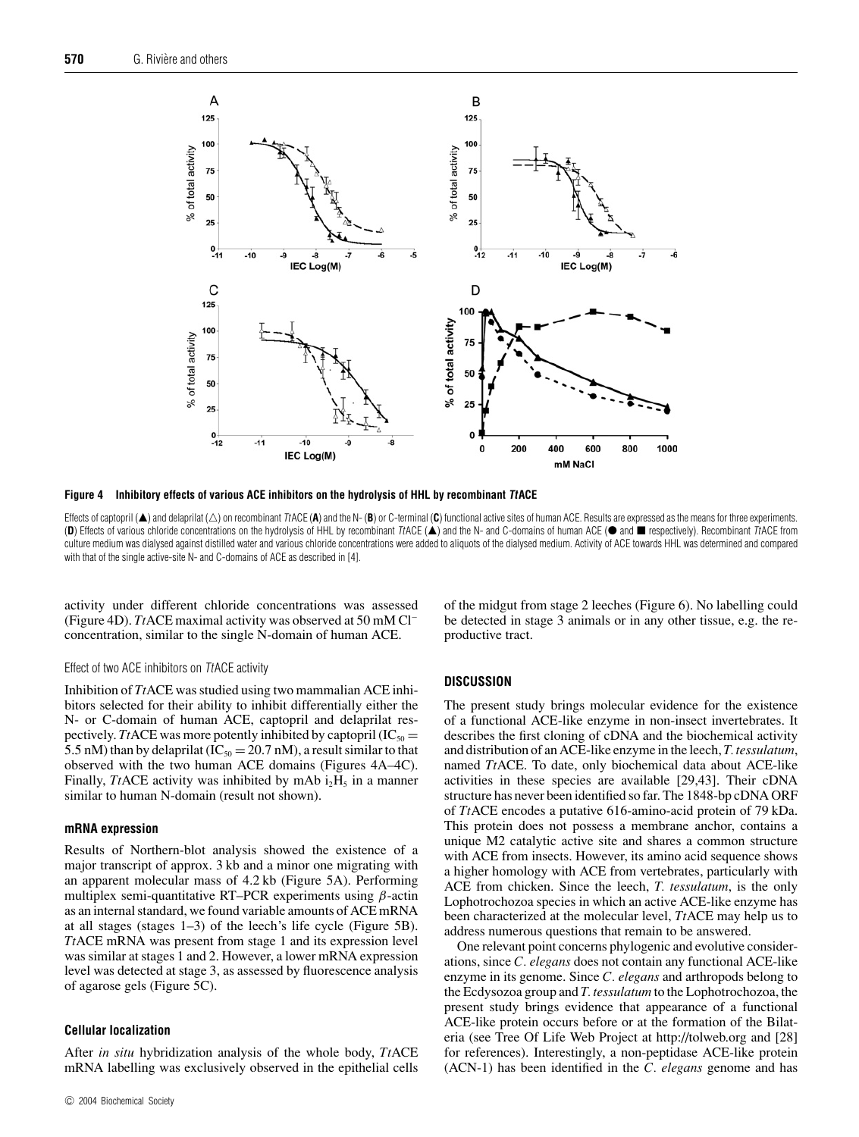

**Figure 4 Inhibitory effects of various ACE inhibitors on the hydrolysis of HHL by recombinant TtACE**

Effects of captopril (▲) and delaprilat (△) on recombinant TtACE (**A**) and the N- (B) or C-terminal (**C**) functional active sites of human ACE. Results are expressed as the means for three experiments. (D) Effects of various chloride concentrations on the hydrolysis of HHL by recombinant TACE (A) and the N- and C-domains of human ACE ( $\bullet$  and  $\blacksquare$  respectively). Recombinant TACE from culture medium was dialysed against distilled water and various chloride concentrations were added to aliquots of the dialysed medium. Activity of ACE towards HHL was determined and compared with that of the single active-site N- and C-domains of ACE as described in [4].

activity under different chloride concentrations was assessed (Figure 4D). *Tt*ACE maximal activity was observed at 50 mM Cl<sup>−</sup> concentration, similar to the single N-domain of human ACE.

#### Effect of two ACE inhibitors on TtACE activity

Inhibition of *Tt*ACE was studied using two mammalian ACE inhibitors selected for their ability to inhibit differentially either the N- or C-domain of human ACE, captopril and delaprilat respectively. *Tt*ACE was more potently inhibited by captopril  $(IC_{50} =$ 5.5 nM) than by delaprilat ( $IC_{50} = 20.7$  nM), a result similar to that observed with the two human ACE domains (Figures 4A–4C). Finally, *Tt*ACE activity was inhibited by mAb  $i_2H_5$  in a manner similar to human N-domain (result not shown).

#### **mRNA expression**

Results of Northern-blot analysis showed the existence of a major transcript of approx. 3 kb and a minor one migrating with an apparent molecular mass of 4.2 kb (Figure 5A). Performing multiplex semi-quantitative RT–PCR experiments using  $\beta$ -actin as an internal standard, we found variable amounts of ACE mRNA at all stages (stages 1–3) of the leech's life cycle (Figure 5B). *Tt*ACE mRNA was present from stage 1 and its expression level was similar at stages 1 and 2. However, a lower mRNA expression level was detected at stage 3, as assessed by fluorescence analysis of agarose gels (Figure 5C).

#### **Cellular localization**

After *in situ* hybridization analysis of the whole body, *Tt*ACE mRNA labelling was exclusively observed in the epithelial cells of the midgut from stage 2 leeches (Figure 6). No labelling could be detected in stage 3 animals or in any other tissue, e.g. the reproductive tract.

#### **DISCUSSION**

The present study brings molecular evidence for the existence of a functional ACE-like enzyme in non-insect invertebrates. It describes the first cloning of cDNA and the biochemical activity and distribution of an ACE-like enzyme in the leech, *T. tessulatum*, named *Tt*ACE. To date, only biochemical data about ACE-like activities in these species are available [29,43]. Their cDNA structure has never been identified so far. The 1848-bp cDNA ORF of *Tt*ACE encodes a putative 616-amino-acid protein of 79 kDa. This protein does not possess a membrane anchor, contains a unique M2 catalytic active site and shares a common structure with ACE from insects. However, its amino acid sequence shows a higher homology with ACE from vertebrates, particularly with ACE from chicken. Since the leech, *T. tessulatum*, is the only Lophotrochozoa species in which an active ACE-like enzyme has been characterized at the molecular level, *Tt*ACE may help us to address numerous questions that remain to be answered.

One relevant point concerns phylogenic and evolutive considerations, since *C. elegans* does not contain any functional ACE-like enzyme in its genome. Since *C. elegans* and arthropods belong to the Ecdysozoa group and *T. tessulatum* to the Lophotrochozoa, the present study brings evidence that appearance of a functional ACE-like protein occurs before or at the formation of the Bilateria (see Tree Of Life Web Project at http://tolweb.org and [28] for references). Interestingly, a non-peptidase ACE-like protein (ACN-1) has been identified in the *C. elegans* genome and has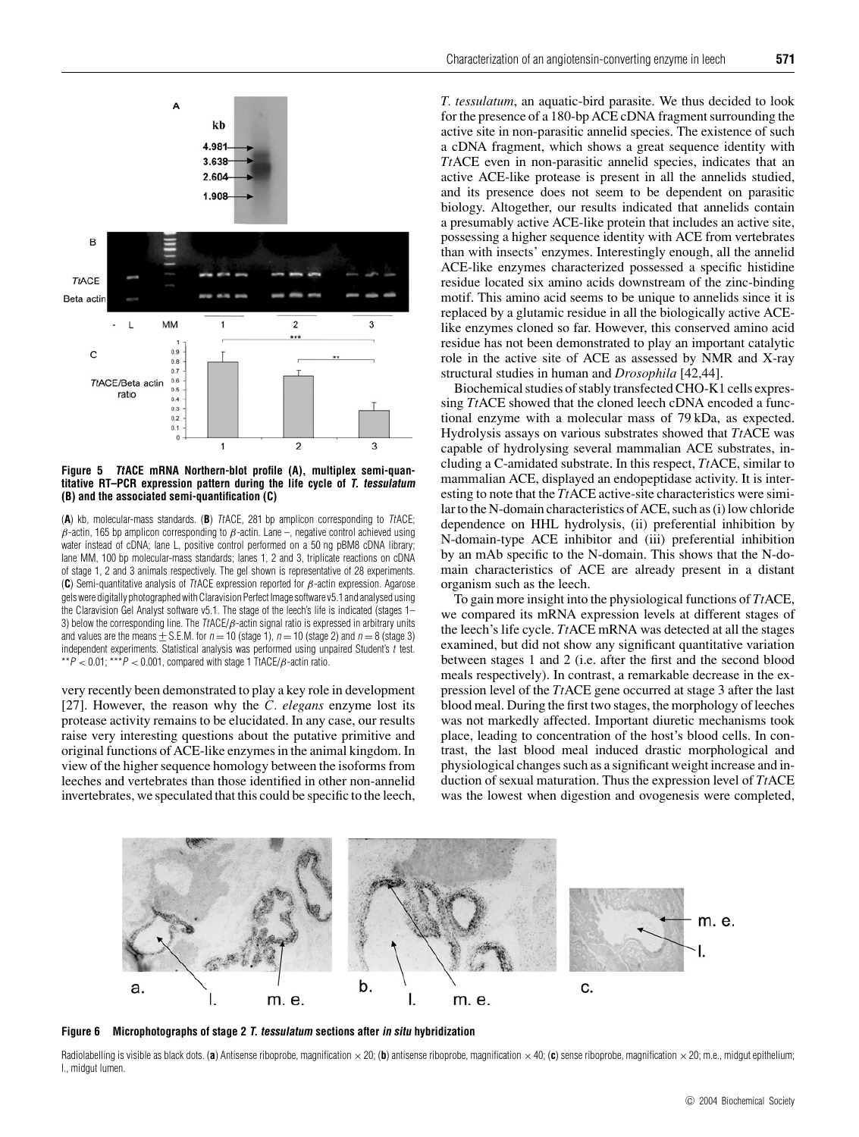

**Figure 5 TtACE mRNA Northern-blot profile (A), multiplex semi-quantitative RT–PCR expression pattern during the life cycle of T. tessulatum (B) and the associated semi-quantification (C)**

(**A**) kb, molecular-mass standards. (**B**) TtACE, 281 bp amplicon corresponding to TtACE;  $β$ -actin, 165 bp amplicon corresponding to  $β$ -actin. Lane –, negative control achieved using water instead of cDNA; lane L, positive control performed on a 50 ng pBM8 cDNA library; lane MM, 100 bp molecular-mass standards; lanes 1, 2 and 3, triplicate reactions on cDNA of stage 1, 2 and 3 animals respectively. The gel shown is representative of 28 experiments. (**C**) Semi-quantitative analysis of TtACE expression reported for β-actin expression. Agarose gels were digitally photographed with Claravision Perfect Image software v5.1 and analysed using the Claravision Gel Analyst software v5.1. The stage of the leech's life is indicated (stages 1– 3) below the corresponding line. The  $\text{ItACE}/\beta$ -actin signal ratio is expressed in arbitrary units and values are the means  $\pm$  S.E.M. for  $n = 10$  (stage 1),  $n = 10$  (stage 2) and  $n = 8$  (stage 3) independent experiments. Statistical analysis was performed using unpaired Student's t test. \*\* $P < 0.01$ ; \*\*\* $P < 0.001$ , compared with stage 1 TtACE/ $\beta$ -actin ratio.

very recently been demonstrated to play a key role in development [27]. However, the reason why the *C. elegans* enzyme lost its protease activity remains to be elucidated. In any case, our results raise very interesting questions about the putative primitive and original functions of ACE-like enzymes in the animal kingdom. In view of the higher sequence homology between the isoforms from leeches and vertebrates than those identified in other non-annelid invertebrates, we speculated that this could be specific to the leech,

*T. tessulatum*, an aquatic-bird parasite. We thus decided to look for the presence of a 180-bp ACE cDNA fragment surrounding the active site in non-parasitic annelid species. The existence of such a cDNA fragment, which shows a great sequence identity with *Tt*ACE even in non-parasitic annelid species, indicates that an active ACE-like protease is present in all the annelids studied, and its presence does not seem to be dependent on parasitic biology. Altogether, our results indicated that annelids contain a presumably active ACE-like protein that includes an active site, possessing a higher sequence identity with ACE from vertebrates than with insects' enzymes. Interestingly enough, all the annelid ACE-like enzymes characterized possessed a specific histidine residue located six amino acids downstream of the zinc-binding motif. This amino acid seems to be unique to annelids since it is replaced by a glutamic residue in all the biologically active ACElike enzymes cloned so far. However, this conserved amino acid residue has not been demonstrated to play an important catalytic role in the active site of ACE as assessed by NMR and X-ray structural studies in human and *Drosophila* [42,44].

Biochemical studies of stably transfected CHO-K1 cells expressing *Tt*ACE showed that the cloned leech cDNA encoded a functional enzyme with a molecular mass of 79 kDa, as expected. Hydrolysis assays on various substrates showed that *Tt*ACE was capable of hydrolysing several mammalian ACE substrates, including a C-amidated substrate. In this respect, *Tt*ACE, similar to mammalian ACE, displayed an endopeptidase activity. It is interesting to note that the *Tt*ACE active-site characteristics were similar to the N-domain characteristics of ACE, such as (i) low chloride dependence on HHL hydrolysis, (ii) preferential inhibition by N-domain-type ACE inhibitor and (iii) preferential inhibition by an mAb specific to the N-domain. This shows that the N-domain characteristics of ACE are already present in a distant organism such as the leech.

To gain more insight into the physiological functions of *Tt*ACE, we compared its mRNA expression levels at different stages of the leech's life cycle. *Tt*ACE mRNA was detected at all the stages examined, but did not show any significant quantitative variation between stages 1 and 2 (i.e. after the first and the second blood meals respectively). In contrast, a remarkable decrease in the expression level of the *Tt*ACE gene occurred at stage 3 after the last blood meal. During the first two stages, the morphology of leeches was not markedly affected. Important diuretic mechanisms took place, leading to concentration of the host's blood cells. In contrast, the last blood meal induced drastic morphological and physiological changes such as a significant weight increase and induction of sexual maturation. Thus the expression level of *Tt*ACE was the lowest when digestion and ovogenesis were completed,



**Figure 6 Microphotographs of stage 2 T. tessulatum sections after in situ hybridization**

Radiolabelling is visible as black dots. (a) Antisense riboprobe, magnification  $\times$  20; (b) antisense riboprobe, magnification  $\times$ 40; (c) sense riboprobe, magnification  $\times$ 20; m.e., midgut epithelium; l., midgut lumen.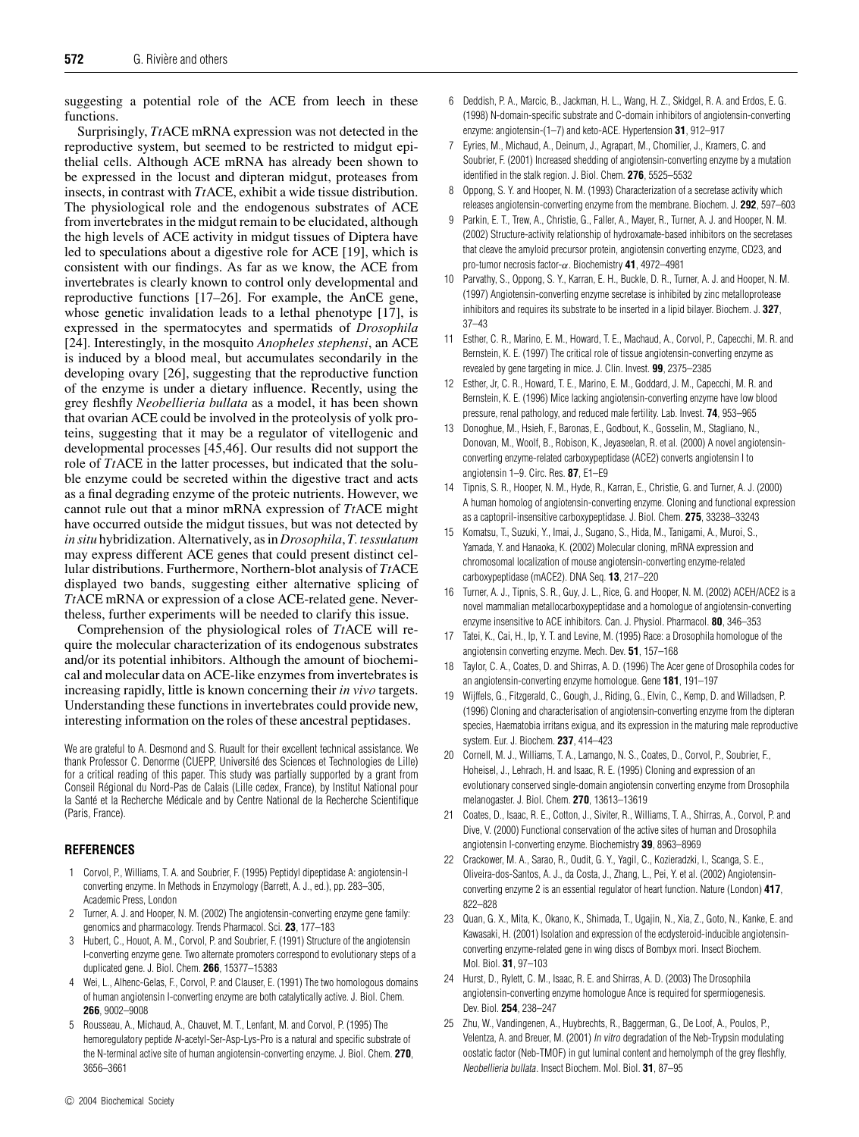suggesting a potential role of the ACE from leech in these functions.

Surprisingly, *Tt*ACE mRNA expression was not detected in the reproductive system, but seemed to be restricted to midgut epithelial cells. Although ACE mRNA has already been shown to be expressed in the locust and dipteran midgut, proteases from insects, in contrast with *Tt*ACE, exhibit a wide tissue distribution. The physiological role and the endogenous substrates of ACE from invertebrates in the midgut remain to be elucidated, although the high levels of ACE activity in midgut tissues of Diptera have led to speculations about a digestive role for ACE [19], which is consistent with our findings. As far as we know, the ACE from invertebrates is clearly known to control only developmental and reproductive functions [17–26]. For example, the AnCE gene, whose genetic invalidation leads to a lethal phenotype [17], is expressed in the spermatocytes and spermatids of *Drosophila* [24]. Interestingly, in the mosquito *Anopheles stephensi*, an ACE is induced by a blood meal, but accumulates secondarily in the developing ovary [26], suggesting that the reproductive function of the enzyme is under a dietary influence. Recently, using the grey fleshfly *Neobellieria bullata* as a model, it has been shown that ovarian ACE could be involved in the proteolysis of yolk proteins, suggesting that it may be a regulator of vitellogenic and developmental processes [45,46]. Our results did not support the role of *Tt*ACE in the latter processes, but indicated that the soluble enzyme could be secreted within the digestive tract and acts as a final degrading enzyme of the proteic nutrients. However, we cannot rule out that a minor mRNA expression of *Tt*ACE might have occurred outside the midgut tissues, but was not detected by *in situ* hybridization. Alternatively, as in *Drosophila*, *T. tessulatum* may express different ACE genes that could present distinct cellular distributions. Furthermore, Northern-blot analysis of *Tt*ACE displayed two bands, suggesting either alternative splicing of *Tt*ACE mRNA or expression of a close ACE-related gene. Nevertheless, further experiments will be needed to clarify this issue.

Comprehension of the physiological roles of *Tt*ACE will require the molecular characterization of its endogenous substrates and/or its potential inhibitors. Although the amount of biochemical and molecular data on ACE-like enzymes from invertebrates is increasing rapidly, little is known concerning their *in vivo* targets. Understanding these functions in invertebrates could provide new, interesting information on the roles of these ancestral peptidases.

We are grateful to A. Desmond and S. Ruault for their excellent technical assistance. We thank Professor C. Denorme (CUEPP, Universite des Sciences et Technologies de Lille) ´ for a critical reading of this paper. This study was partially supported by a grant from Conseil Regional du Nord-Pas de Calais (Lille cedex, France), by Institut National pour ´ la Santé et la Recherche Médicale and by Centre National de la Recherche Scientifique (Paris, France).

## **REFERENCES**

- 1 Corvol, P., Williams, T. A. and Soubrier, F. (1995) Peptidyl dipeptidase A: angiotensin-I converting enzyme. In Methods in Enzymology (Barrett, A. J., ed.), pp. 283–305, Academic Press, London
- 2 Turner, A. J. and Hooper, N. M. (2002) The angiotensin-converting enzyme gene family: genomics and pharmacology. Trends Pharmacol. Sci. **23**, 177–183
- 3 Hubert, C., Houot, A. M., Corvol, P. and Soubrier, F. (1991) Structure of the angiotensin I-converting enzyme gene. Two alternate promoters correspond to evolutionary steps of a duplicated gene. J. Biol. Chem. **266**, 15377–15383
- 4 Wei, L., Alhenc-Gelas, F., Corvol, P. and Clauser, E. (1991) The two homologous domains of human angiotensin I-converting enzyme are both catalytically active. J. Biol. Chem. **266**, 9002–9008
- 5 Rousseau, A., Michaud, A., Chauvet, M. T., Lenfant, M. and Corvol, P. (1995) The hemoregulatory peptide N-acetyl-Ser-Asp-Lys-Pro is a natural and specific substrate of the N-terminal active site of human angiotensin-converting enzyme. J. Biol. Chem. **270**, 3656–3661
- 6 Deddish, P. A., Marcic, B., Jackman, H. L., Wang, H. Z., Skidgel, R. A. and Erdos, E. G. (1998) N-domain-specific substrate and C-domain inhibitors of angiotensin-converting enzyme: angiotensin-(1–7) and keto-ACE. Hypertension **31**, 912–917
- 7 Eyries, M., Michaud, A., Deinum, J., Agrapart, M., Chomilier, J., Kramers, C. and Soubrier, F. (2001) Increased shedding of angiotensin-converting enzyme by a mutation identified in the stalk region. J. Biol. Chem. **276**, 5525–5532
- 8 Oppong, S. Y. and Hooper, N. M. (1993) Characterization of a secretase activity which releases angiotensin-converting enzyme from the membrane. Biochem. J. **292**, 597–603
- 9 Parkin, E. T., Trew, A., Christie, G., Faller, A., Mayer, R., Turner, A. J. and Hooper, N. M. (2002) Structure-activity relationship of hydroxamate-based inhibitors on the secretases that cleave the amyloid precursor protein, angiotensin converting enzyme, CD23, and pro-tumor necrosis factor-α. Biochemistry **41**, 4972–4981
- 10 Parvathy, S., Oppong, S. Y., Karran, E. H., Buckle, D. R., Turner, A. J. and Hooper, N. M. (1997) Angiotensin-converting enzyme secretase is inhibited by zinc metalloprotease inhibitors and requires its substrate to be inserted in a lipid bilayer. Biochem. J. **327**, 37–43
- 11 Esther, C. R., Marino, E. M., Howard, T. E., Machaud, A., Corvol, P., Capecchi, M. R. and Bernstein, K. E. (1997) The critical role of tissue angiotensin-converting enzyme as revealed by gene targeting in mice. J. Clin. Invest. **99**, 2375–2385
- 12 Esther, Jr, C. R., Howard, T. E., Marino, E. M., Goddard, J. M., Capecchi, M. R. and Bernstein, K. E. (1996) Mice lacking angiotensin-converting enzyme have low blood pressure, renal pathology, and reduced male fertility. Lab. Invest. **74**, 953–965
- 13 Donoghue, M., Hsieh, F., Baronas, E., Godbout, K., Gosselin, M., Stagliano, N., Donovan, M., Woolf, B., Robison, K., Jeyaseelan, R. et al. (2000) A novel angiotensinconverting enzyme-related carboxypeptidase (ACE2) converts angiotensin I to angiotensin 1–9. Circ. Res. **87**, E1–E9
- 14 Tipnis, S. R., Hooper, N. M., Hyde, R., Karran, E., Christie, G. and Turner, A. J. (2000) A human homolog of angiotensin-converting enzyme. Cloning and functional expression as a captopril-insensitive carboxypeptidase. J. Biol. Chem. **275**, 33238–33243
- 15 Komatsu, T., Suzuki, Y., Imai, J., Sugano, S., Hida, M., Tanigami, A., Muroi, S., Yamada, Y. and Hanaoka, K. (2002) Molecular cloning, mRNA expression and chromosomal localization of mouse angiotensin-converting enzyme-related carboxypeptidase (mACE2). DNA Seq. **13**, 217–220
- 16 Turner, A. J., Tipnis, S. R., Guy, J. L., Rice, G. and Hooper, N. M. (2002) ACEH/ACE2 is a novel mammalian metallocarboxypeptidase and a homologue of angiotensin-converting enzyme insensitive to ACE inhibitors. Can. J. Physiol. Pharmacol. **80**, 346–353
- 17 Tatei, K., Cai, H., Ip, Y. T. and Levine, M. (1995) Race: a Drosophila homologue of the angiotensin converting enzyme. Mech. Dev. **51**, 157–168
- 18 Taylor, C. A., Coates, D. and Shirras, A. D. (1996) The Acer gene of Drosophila codes for an angiotensin-converting enzyme homologue. Gene **181**, 191–197
- 19 Wijffels, G., Fitzgerald, C., Gough, J., Riding, G., Elvin, C., Kemp, D. and Willadsen, P. (1996) Cloning and characterisation of angiotensin-converting enzyme from the dipteran species, Haematobia irritans exigua, and its expression in the maturing male reproductive system. Eur. J. Biochem. **237**, 414–423
- 20 Cornell, M. J., Williams, T. A., Lamango, N. S., Coates, D., Corvol, P., Soubrier, F., Hoheisel, J., Lehrach, H. and Isaac, R. E. (1995) Cloning and expression of an evolutionary conserved single-domain angiotensin converting enzyme from Drosophila melanogaster. J. Biol. Chem. **270**, 13613–13619
- 21 Coates, D., Isaac, R. E., Cotton, J., Siviter, R., Williams, T. A., Shirras, A., Corvol, P. and Dive, V. (2000) Functional conservation of the active sites of human and Drosophila angiotensin I-converting enzyme. Biochemistry **39**, 8963–8969
- 22 Crackower, M. A., Sarao, R., Oudit, G. Y., Yagil, C., Kozieradzki, I., Scanga, S. E., Oliveira-dos-Santos, A. J., da Costa, J., Zhang, L., Pei, Y. et al. (2002) Angiotensinconverting enzyme 2 is an essential regulator of heart function. Nature (London) **417**, 822–828
- 23 Quan, G. X., Mita, K., Okano, K., Shimada, T., Ugajin, N., Xia, Z., Goto, N., Kanke, E. and Kawasaki, H. (2001) Isolation and expression of the ecdysteroid-inducible angiotensinconverting enzyme-related gene in wing discs of Bombyx mori. Insect Biochem. Mol. Biol. **31**, 97–103
- 24 Hurst, D., Rylett, C. M., Isaac, R. E. and Shirras, A. D. (2003) The Drosophila angiotensin-converting enzyme homologue Ance is required for spermiogenesis. Dev. Biol. **254**, 238–247
- 25 Zhu, W., Vandingenen, A., Huybrechts, R., Baggerman, G., De Loof, A., Poulos, P., Velentza, A. and Breuer, M. (2001) In vitro degradation of the Neb-Trypsin modulating oostatic factor (Neb-TMOF) in gut luminal content and hemolymph of the grey fleshfly, Neobellieria bullata. Insect Biochem. Mol. Biol. **31**, 87–95